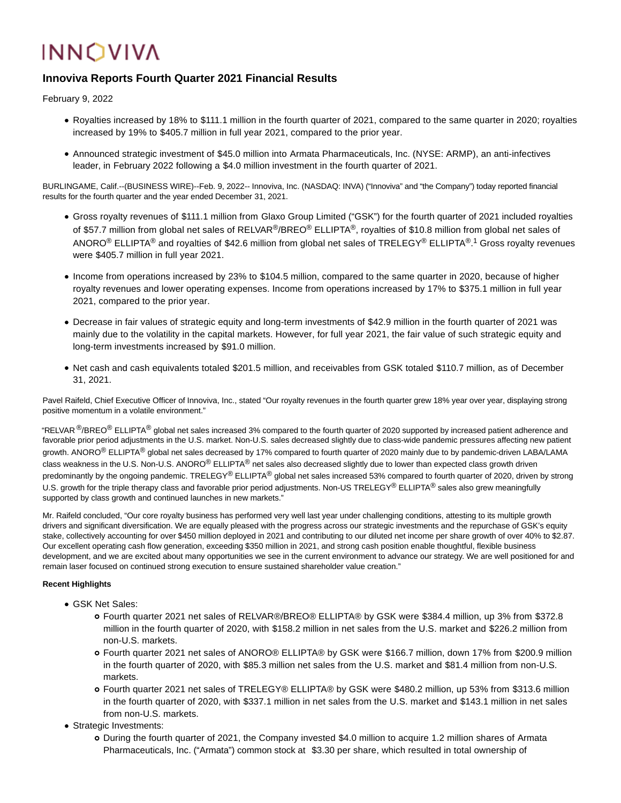# **INNOVIVA**

# **Innoviva Reports Fourth Quarter 2021 Financial Results**

February 9, 2022

- Royalties increased by 18% to \$111.1 million in the fourth quarter of 2021, compared to the same quarter in 2020; royalties increased by 19% to \$405.7 million in full year 2021, compared to the prior year.
- Announced strategic investment of \$45.0 million into Armata Pharmaceuticals, Inc. (NYSE: ARMP), an anti-infectives leader, in February 2022 following a \$4.0 million investment in the fourth quarter of 2021.

BURLINGAME, Calif.--(BUSINESS WIRE)--Feb. 9, 2022-- Innoviva, Inc. (NASDAQ: INVA) ("Innoviva" and "the Company") today reported financial results for the fourth quarter and the year ended December 31, 2021.

- Gross royalty revenues of \$111.1 million from Glaxo Group Limited ("GSK") for the fourth quarter of 2021 included royalties of \$57.7 million from global net sales of RELVAR<sup>®</sup>/BREO<sup>®</sup> ELLIPTA<sup>®</sup>, royalties of \$10.8 million from global net sales of <code>ANORO®</code> ELLIPTA® and royalties of \$42.6 million from global net sales of <code>TRELEGY®</code> <code>ELLIPTA®.1</code> Gross royalty revenues were \$405.7 million in full year 2021.
- Income from operations increased by 23% to \$104.5 million, compared to the same quarter in 2020, because of higher royalty revenues and lower operating expenses. Income from operations increased by 17% to \$375.1 million in full year 2021, compared to the prior year.
- Decrease in fair values of strategic equity and long-term investments of \$42.9 million in the fourth quarter of 2021 was mainly due to the volatility in the capital markets. However, for full year 2021, the fair value of such strategic equity and long-term investments increased by \$91.0 million.
- Net cash and cash equivalents totaled \$201.5 million, and receivables from GSK totaled \$110.7 million, as of December 31, 2021.

Pavel Raifeld, Chief Executive Officer of Innoviva, Inc., stated "Our royalty revenues in the fourth quarter grew 18% year over year, displaying strong positive momentum in a volatile environment."

"RELVAR <sup>®</sup>/BREO<sup>®</sup> ELLIPTA<sup>®</sup> global net sales increased 3% compared to the fourth quarter of 2020 supported by increased patient adherence and favorable prior period adjustments in the U.S. market. Non-U.S. sales decreased slightly due to class-wide pandemic pressures affecting new patient growth. ANORO<sup>®</sup> ELLIPTA<sup>®</sup> global net sales decreased by 17% compared to fourth quarter of 2020 mainly due to by pandemic-driven LABA/LAMA class weakness in the U.S. Non-U.S. ANORO<sup>®</sup> ELLIPTA<sup>®</sup> net sales also decreased slightly due to lower than expected class growth driven predominantly by the ongoing pandemic. TRELEGY® ELLIPTA® global net sales increased 53% compared to fourth quarter of 2020, driven by strong U.S. growth for the triple therapy class and favorable prior period adjustments. Non-US TRELEGY® ELLIPTA® sales also grew meaningfully supported by class growth and continued launches in new markets."

Mr. Raifeld concluded, "Our core royalty business has performed very well last year under challenging conditions, attesting to its multiple growth drivers and significant diversification. We are equally pleased with the progress across our strategic investments and the repurchase of GSK's equity stake, collectively accounting for over \$450 million deployed in 2021 and contributing to our diluted net income per share growth of over 40% to \$2.87. Our excellent operating cash flow generation, exceeding \$350 million in 2021, and strong cash position enable thoughtful, flexible business development, and we are excited about many opportunities we see in the current environment to advance our strategy. We are well positioned for and remain laser focused on continued strong execution to ensure sustained shareholder value creation."

# **Recent Highlights**

- GSK Net Sales:
	- Fourth quarter 2021 net sales of RELVAR®/BREO® ELLIPTA® by GSK were \$384.4 million, up 3% from \$372.8 million in the fourth quarter of 2020, with \$158.2 million in net sales from the U.S. market and \$226.2 million from non-U.S. markets.
	- Fourth quarter 2021 net sales of ANORO® ELLIPTA® by GSK were \$166.7 million, down 17% from \$200.9 million in the fourth quarter of 2020, with \$85.3 million net sales from the U.S. market and \$81.4 million from non-U.S. markets.
	- Fourth quarter 2021 net sales of TRELEGY® ELLIPTA® by GSK were \$480.2 million, up 53% from \$313.6 million in the fourth quarter of 2020, with \$337.1 million in net sales from the U.S. market and \$143.1 million in net sales from non-U.S. markets.
- Strategic Investments:
	- During the fourth quarter of 2021, the Company invested \$4.0 million to acquire 1.2 million shares of Armata Pharmaceuticals, Inc. ("Armata") common stock at \$3.30 per share, which resulted in total ownership of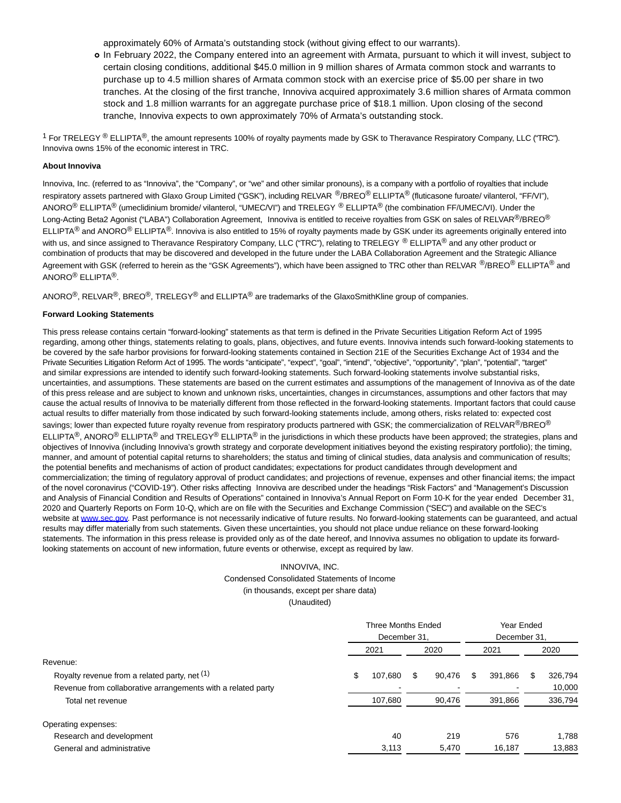approximately 60% of Armata's outstanding stock (without giving effect to our warrants).

In February 2022, the Company entered into an agreement with Armata, pursuant to which it will invest, subject to certain closing conditions, additional \$45.0 million in 9 million shares of Armata common stock and warrants to purchase up to 4.5 million shares of Armata common stock with an exercise price of \$5.00 per share in two tranches. At the closing of the first tranche, Innoviva acquired approximately 3.6 million shares of Armata common stock and 1.8 million warrants for an aggregate purchase price of \$18.1 million. Upon closing of the second tranche, Innoviva expects to own approximately 70% of Armata's outstanding stock.

<sup>1</sup> For TRELEGY <sup>®</sup> ELLIPTA<sup>®</sup>, the amount represents 100% of royalty payments made by GSK to Theravance Respiratory Company, LLC ("TRC"). Innoviva owns 15% of the economic interest in TRC.

### **About Innoviva**

Innoviva, Inc. (referred to as "Innoviva", the "Company", or "we" and other similar pronouns), is a company with a portfolio of royalties that include respiratory assets partnered with Glaxo Group Limited ("GSK"), including RELVAR <sup>@</sup>/BREO<sup>®</sup> ELLIPTA<sup>®</sup> (fluticasone furoate/ vilanterol, "FF/VI"), ANORO<sup>®</sup> ELLIPTA<sup>®</sup> (umeclidinium bromide/ vilanterol, "UMEC/VI") and TRELEGY ® ELLIPTA<sup>®</sup> (the combination FF/UMEC/VI). Under the Long-Acting Beta2 Agonist ("LABA") Collaboration Agreement, Innoviva is entitled to receive royalties from GSK on sales of RELVAR<sup>®</sup>/BREO<sup>®</sup> ELLIPTA<sup>®</sup> and ANORO<sup>®</sup> ELLIPTA<sup>®</sup>. Innoviva is also entitled to 15% of royalty payments made by GSK under its agreements originally entered into with us, and since assigned to Theravance Respiratory Company, LLC ("TRC"), relating to TRELEGY ® ELLIPTA® and any other product or combination of products that may be discovered and developed in the future under the LABA Collaboration Agreement and the Strategic Alliance Agreement with GSK (referred to herein as the "GSK Agreements"), which have been assigned to TRC other than RELVAR  $^@$ /BREO $^@$  ELLIPTA $^@$  and ANORO® ELLIPTA®.

ANORO<sup>®</sup>, RELVAR<sup>®</sup>, BREO<sup>®</sup>, TRELEGY<sup>®</sup> and ELLIPTA<sup>®</sup> are trademarks of the GlaxoSmithKline group of companies.

#### **Forward Looking Statements**

This press release contains certain "forward-looking" statements as that term is defined in the Private Securities Litigation Reform Act of 1995 regarding, among other things, statements relating to goals, plans, objectives, and future events. Innoviva intends such forward-looking statements to be covered by the safe harbor provisions for forward-looking statements contained in Section 21E of the Securities Exchange Act of 1934 and the Private Securities Litigation Reform Act of 1995. The words "anticipate", "expect", "goal", "intend", "objective", "opportunity", "plan", "potential", "target" and similar expressions are intended to identify such forward-looking statements. Such forward-looking statements involve substantial risks, uncertainties, and assumptions. These statements are based on the current estimates and assumptions of the management of Innoviva as of the date of this press release and are subject to known and unknown risks, uncertainties, changes in circumstances, assumptions and other factors that may cause the actual results of Innoviva to be materially different from those reflected in the forward-looking statements. Important factors that could cause actual results to differ materially from those indicated by such forward-looking statements include, among others, risks related to: expected cost savings; lower than expected future royalty revenue from respiratory products partnered with GSK; the commercialization of RELVAR<sup>®</sup>/BREO<sup>®</sup> ELLIPTA<sup>®</sup>, ANORO<sup>®</sup> ELLIPTA<sup>®</sup> and TRELEGY<sup>®</sup> ELLIPTA<sup>®</sup> in the jurisdictions in which these products have been approved; the strategies, plans and objectives of Innoviva (including Innoviva's growth strategy and corporate development initiatives beyond the existing respiratory portfolio); the timing, manner, and amount of potential capital returns to shareholders; the status and timing of clinical studies, data analysis and communication of results; the potential benefits and mechanisms of action of product candidates; expectations for product candidates through development and commercialization; the timing of regulatory approval of product candidates; and projections of revenue, expenses and other financial items; the impact of the novel coronavirus ("COVID-19"). Other risks affecting Innoviva are described under the headings "Risk Factors" and "Management's Discussion and Analysis of Financial Condition and Results of Operations" contained in Innoviva's Annual Report on Form 10-K for the year ended December 31, 2020 and Quarterly Reports on Form 10-Q, which are on file with the Securities and Exchange Commission ("SEC") and available on the SEC's website at [www.sec.gov.](https://cts.businesswire.com/ct/CT?id=smartlink&url=http%3A%2F%2Fwww.sec.gov&esheet=52576379&newsitemid=20220208006292&lan=en-US&anchor=www.sec.gov&index=1&md5=87e0f44e2079abe5bc5c3b594de51634) Past performance is not necessarily indicative of future results. No forward-looking statements can be guaranteed, and actual results may differ materially from such statements. Given these uncertainties, you should not place undue reliance on these forward-looking statements. The information in this press release is provided only as of the date hereof, and Innoviva assumes no obligation to update its forwardlooking statements on account of new information, future events or otherwise, except as required by law.

# INNOVIVA, INC. Condensed Consolidated Statements of Income (in thousands, except per share data) (Unaudited)

|                                                              | <b>Three Months Ended</b><br>December 31. |         |      | Year Ended<br>December 31. |      |         |      |         |
|--------------------------------------------------------------|-------------------------------------------|---------|------|----------------------------|------|---------|------|---------|
|                                                              | 2021                                      |         | 2020 |                            | 2021 |         | 2020 |         |
| Revenue:                                                     |                                           |         |      |                            |      |         |      |         |
| Royalty revenue from a related party, net (1)                | \$                                        | 107,680 | \$.  | 90.476                     | S    | 391,866 | S    | 326,794 |
| Revenue from collaborative arrangements with a related party |                                           |         |      |                            |      |         |      | 10,000  |
| Total net revenue                                            |                                           | 107,680 |      | 90.476                     |      | 391,866 |      | 336,794 |
| Operating expenses:                                          |                                           |         |      |                            |      |         |      |         |
| Research and development                                     |                                           | 40      |      | 219                        |      | 576     |      | 1.788   |
| General and administrative                                   |                                           | 3,113   |      | 5,470                      |      | 16,187  |      | 13,883  |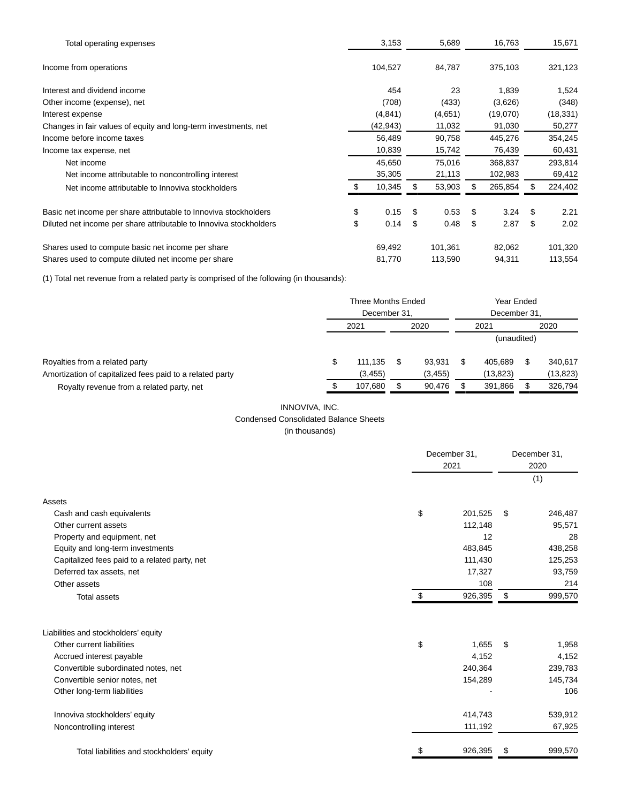| Total operating expenses                                           | 3,153      | 5,689        |    | 16,763   | 15,671     |
|--------------------------------------------------------------------|------------|--------------|----|----------|------------|
| Income from operations                                             | 104,527    | 84,787       |    | 375,103  | 321,123    |
| Interest and dividend income                                       | 454        | 23           |    | 1,839    | 1,524      |
| Other income (expense), net                                        | (708)      | (433)        |    | (3,626)  | (348)      |
| Interest expense                                                   | (4, 841)   | (4,651)      |    | (19,070) | (18, 331)  |
| Changes in fair values of equity and long-term investments, net    | (42,943)   | 11,032       |    | 91,030   | 50,277     |
| Income before income taxes                                         | 56,489     | 90,758       |    | 445,276  | 354,245    |
| Income tax expense, net                                            | 10,839     | 15,742       |    | 76,439   | 60,431     |
| Net income                                                         | 45,650     | 75,016       |    | 368,837  | 293,814    |
| Net income attributable to noncontrolling interest                 | 35,305     | 21,113       |    | 102,983  | 69,412     |
| Net income attributable to Innoviva stockholders                   | 10,345     | \$<br>53,903 |    | 265,854  | 224,402    |
| Basic net income per share attributable to Innoviva stockholders   | \$<br>0.15 | \$<br>0.53   | S  | 3.24     | \$<br>2.21 |
| Diluted net income per share attributable to Innoviva stockholders | \$<br>0.14 | \$<br>0.48   | \$ | 2.87     | \$<br>2.02 |
| Shares used to compute basic net income per share                  | 69,492     | 101,361      |    | 82,062   | 101,320    |
| Shares used to compute diluted net income per share                | 81,770     | 113,590      |    | 94,311   | 113,554    |

(1) Total net revenue from a related party is comprised of the following (in thousands):

|                                                          | <b>Three Months Ended</b><br>December 31. |          |   |          | Year Ended<br>December 31. |           |  |           |  |
|----------------------------------------------------------|-------------------------------------------|----------|---|----------|----------------------------|-----------|--|-----------|--|
|                                                          | 2021                                      |          |   | 2020     |                            | 2021      |  | 2020      |  |
|                                                          |                                           |          |   |          | (unaudited)                |           |  |           |  |
| Royalties from a related party                           |                                           | 111.135  | S | 93.931   |                            | 405.689   |  | 340.617   |  |
| Amortization of capitalized fees paid to a related party |                                           | (3, 455) |   | (3, 455) |                            | (13, 823) |  | (13, 823) |  |
| Royalty revenue from a related party, net                |                                           | 107,680  |   | 90,476   |                            | 391,866   |  | 326,794   |  |

# INNOVIVA, INC. Condensed Consolidated Balance Sheets

|  | (in thousands) |
|--|----------------|
|  |                |

|                                               | December 31.<br>2021 |         |    | December 31,<br>2020<br>(1) |  |  |
|-----------------------------------------------|----------------------|---------|----|-----------------------------|--|--|
| Assets                                        |                      |         |    |                             |  |  |
| Cash and cash equivalents                     | \$                   | 201,525 | \$ | 246,487                     |  |  |
| Other current assets                          |                      | 112,148 |    | 95,571                      |  |  |
| Property and equipment, net                   |                      | 12      |    | 28                          |  |  |
| Equity and long-term investments              |                      | 483,845 |    | 438,258                     |  |  |
| Capitalized fees paid to a related party, net |                      | 111,430 |    | 125,253                     |  |  |
| Deferred tax assets, net                      |                      | 17,327  |    | 93,759                      |  |  |
| Other assets                                  |                      | 108     |    | 214                         |  |  |
| <b>Total assets</b>                           | \$                   | 926,395 | \$ | 999,570                     |  |  |
| Liabilities and stockholders' equity          |                      |         |    |                             |  |  |
| Other current liabilities                     | \$                   | 1.655   | \$ | 1,958                       |  |  |
| Accrued interest payable                      |                      | 4,152   |    | 4,152                       |  |  |
| Convertible subordinated notes, net           |                      | 240,364 |    | 239,783                     |  |  |
| Convertible senior notes, net                 |                      | 154,289 |    | 145,734                     |  |  |
| Other long-term liabilities                   |                      |         |    | 106                         |  |  |
| Innoviva stockholders' equity                 |                      | 414,743 |    | 539,912                     |  |  |
| Noncontrolling interest                       |                      | 111,192 |    | 67,925                      |  |  |
| Total liabilities and stockholders' equity    | S                    | 926,395 | \$ | 999,570                     |  |  |